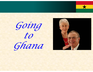

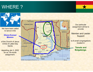## WHERE ?



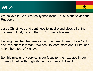## Why?



We believe in God. We testify that Jesus Christ is our Savior and Redeemer.

Jesus Christ lives and continues to inspire and bless all of the children of God, inviting them to "Come, follow me".

He taught us that the greatest commandments are to love God and love our fellow man. We seek to learn more about Him, and help others feel of His love.

So, this missionary service is our focus for the next step in our journey together through life, as we strive to follow Him.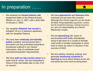## In preparation ……

- • We received our **formal mission call**/ assignment letter to the Ghana Kumasi Mission on July 13, 2021, with a start date of January 3, 2022.
- • Our daughter **Rebekah has moved** to Arlington VA to a 2 bedroom apartment with our daughter Deanna
- • We have been **medically and dentally poked**, prodded, and punctured like a pincushion per the proscribed preparatory procedures outlined in our mission instructions. (lots of worldwide travel vaccine/immunization requirements)
- • We have **sold our big country home** on a quiet rural 8+ acres, and are scheduled to close on that real estate sale on Dec 21st (or sooner).
- • We have **planned for our finances** while overseas and we have this covered. Although the Church pays for our air travel, all other living expenses (apartment, vehicle, food & household expenses, medical insurance, etc.) are our responsibility as a Senior Missionary couple.
- • We are **downsizing** 38+ years of accumulated stuff pretty dramatically, trying to get down to a couple of storage units worth of worldly necessities to come back to when we return to Houston in the summer of 2023.
- •We are reading, studying, praying, and generally **immersing ourselves in learning** as much about Ghana as we can and about the work we'll be doing there.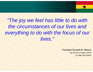*"The joy we feel has little to do with the circumstances of our lives and everything to do with the focus of our lives."*

> President Russell M. Nelson The Church of Jesus Christof Latter-Day Saints